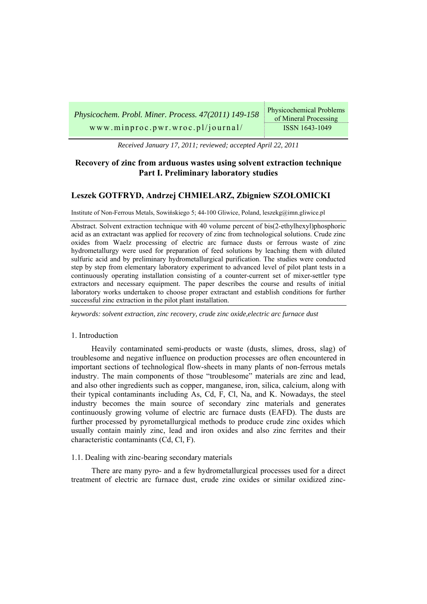| Physicochem. Probl. Miner. Process. 47(2011) 149-158 | Physicochemical Problems<br>of Mineral Processing |
|------------------------------------------------------|---------------------------------------------------|
| www.minproc.pwr.wroc.pl/journal/                     | ISSN 1643-1049                                    |

*Received January 17, 2011; reviewed; accepted April 22, 2011* 

# **Recovery of zinc from arduous wastes using solvent extraction technique Part I. Preliminary laboratory studies**

# **Leszek GOTFRYD, Andrzej CHMIELARZ, Zbigniew SZOŁOMICKI**

Institute of Non-Ferrous Metals, Sowińskiego 5; 44-100 Gliwice, Poland, leszekg@imn.gliwice.pl

Abstract. Solvent extraction technique with 40 volume percent of bis(2-ethylhexyl)phosphoric acid as an extractant was applied for recovery of zinc from technological solutions. Crude zinc oxides from Waelz processing of electric arc furnace dusts or ferrous waste of zinc hydrometallurgy were used for preparation of feed solutions by leaching them with diluted sulfuric acid and by preliminary hydrometallurgical purification. The studies were conducted step by step from elementary laboratory experiment to advanced level of pilot plant tests in a continuously operating installation consisting of a counter-current set of mixer-settler type extractors and necessary equipment. The paper describes the course and results of initial laboratory works undertaken to choose proper extractant and establish conditions for further successful zinc extraction in the pilot plant installation.

*keywords: solvent extraction, zinc recovery, crude zinc oxide,electric arc furnace dust* 

### 1. Introduction

Heavily contaminated semi-products or waste (dusts, slimes, dross, slag) of troublesome and negative influence on production processes are often encountered in important sections of technological flow-sheets in many plants of non-ferrous metals industry. The main components of those "troublesome" materials are zinc and lead, and also other ingredients such as copper, manganese, iron, silica, calcium, along with their typical contaminants including As, Cd, F, Cl, Na, and K. Nowadays, the steel industry becomes the main source of secondary zinc materials and generates continuously growing volume of electric arc furnace dusts (EAFD). The dusts are further processed by pyrometallurgical methods to produce crude zinc oxides which usually contain mainly zinc, lead and iron oxides and also zinc ferrites and their characteristic contaminants (Cd, Cl, F).

#### 1.1. Dealing with zinc-bearing secondary materials

There are many pyro- and a few hydrometallurgical processes used for a direct treatment of electric arc furnace dust, crude zinc oxides or similar oxidized zinc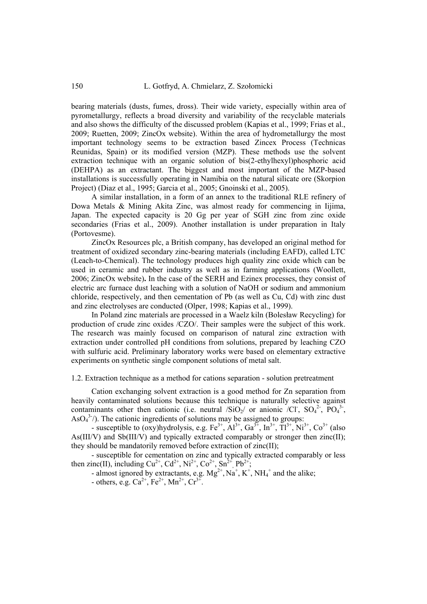bearing materials (dusts, fumes, dross). Their wide variety, especially within area of pyrometallurgy, reflects a broad diversity and variability of the recyclable materials and also shows the difficulty of the discussed problem (Kapias et al., 1999; Frias et al., 2009; Ruetten, 2009; ZincOx website). Within the area of hydrometallurgy the most important technology seems to be extraction based Zincex Process (Technicas Reunidas, Spain) or its modified version (MZP). These methods use the solvent extraction technique with an organic solution of bis(2-ethylhexyl)phosphoric acid (DEHPA) as an extractant. The biggest and most important of the MZP-based installations is successfully operating in Namibia on the natural silicate ore (Skorpion Project) (Diaz et al., 1995; Garcia et al., 2005; Gnoinski et al., 2005).

A similar installation, in a form of an annex to the traditional RLE refinery of Dowa Metals & Mining Akita Zinc, was almost ready for commencing in Iijima, Japan. The expected capacity is 20 Gg per year of SGH zinc from zinc oxide secondaries (Frias et al., 2009). Another installation is under preparation in Italy (Portovesme).

ZincOx Resources plc, a British company, has developed an original method for treatment of oxidized secondary zinc-bearing materials (including EAFD), called LTC (Leach-to-Chemical). The technology produces high quality zinc oxide which can be used in ceramic and rubber industry as well as in farming applications (Woollett, 2006; ZincOx website)**.** In the case of the SERH and Ezinex processes, they consist of electric arc furnace dust leaching with a solution of NaOH or sodium and ammonium chloride, respectively, and then cementation of Pb (as well as Cu, Cd) with zinc dust and zinc electrolyses are conducted (Olper, 1998; Kapias et al., 1999).

In Poland zinc materials are processed in a Waelz kiln (Bolesław Recycling) for production of crude zinc oxides /CZO/. Their samples were the subject of this work. The research was mainly focused on comparison of natural zinc extraction with extraction under controlled pH conditions from solutions, prepared by leaching CZO with sulfuric acid. Preliminary laboratory works were based on elementary extractive experiments on synthetic single component solutions of metal salt.

1.2. Extraction technique as a method for cations separation - solution pretreatment

Cation exchanging solvent extraction is a good method for Zn separation from heavily contaminated solutions because this technique is naturally selective against contaminants other then cationic (i.e. neutral  $\overline{\text{SiO}_2}$  or anionic  $\overline{\text{Cl}}$ ,  $\overline{\text{SO}_4}^2$ ,  $\overline{\text{PO}_4}^3$ ,  $AsO<sub>4</sub><sup>3-/-</sup>$ ). The cationic ingredients of solutions may be assigned to groups:

- susceptible to (oxy)hydrolysis, e.g.  $Fe^{3+}$ ,  $Al^{3+}$ ,  $Ga^{3+}$ ,  $In^{3+}$ ,  $Ti^{3+}$ ,  $Ni^{3+}$ ,  $Co^{3+}$  (also As(III/V) and Sb(III/V) and typically extracted comparably or stronger then  $zinc(II)$ ; they should be mandatorily removed before extraction of zinc(II);

- susceptible for cementation on zinc and typically extracted comparably or less then zinc(II), including  $Cu^{2+}$ ,  $Cd^{2+}$ ,  $Ni^{2+}$ ,  $Co^{2+}$ ,  $Sn^{2+}$ ,  $Pb^{2+}$ ;

- almost ignored by extractants, e.g.  $Mg^{2+}$ ,  $Na^{+}$ ,  $K^{+}$ ,  $NH_4^{+}$  and the alike;

- others, e.g.  $Ca^{2+}$ ,  $Fe^{2+}$ ,  $Mn^{2+}$ ,  $Cr^{3+}$ .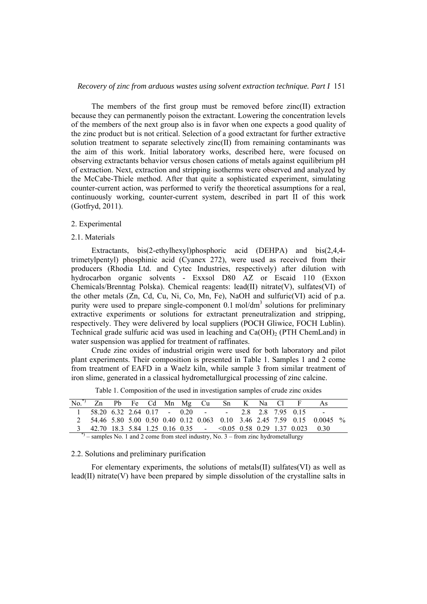### *Recovery of zinc from arduous wastes using solvent extraction technique. Part I* 151

The members of the first group must be removed before zinc(II) extraction because they can permanently poison the extractant. Lowering the concentration levels of the members of the next group also is in favor when one expects a good quality of the zinc product but is not critical. Selection of a good extractant for further extractive solution treatment to separate selectively zinc(II) from remaining contaminants was the aim of this work. Initial laboratory works, described here, were focused on observing extractants behavior versus chosen cations of metals against equilibrium pH of extraction. Next, extraction and stripping isotherms were observed and analyzed by the McCabe-Thiele method. After that quite a sophisticated experiment, simulating counter-current action, was performed to verify the theoretical assumptions for a real, continuously working, counter-current system, described in part II of this work (Gotfryd, 2011).

### 2. Experimental

#### 2.1. Materials

Extractants, bis(2-ethylhexyl)phosphoric acid (DEHPA) and bis(2,4,4 trimetylpentyl) phosphinic acid (Cyanex 272), were used as received from their producers (Rhodia Ltd. and Cytec Industries, respectively) after dilution with hydrocarbon organic solvents - Exxsol D80 AZ or Escaid 110 (Exxon Chemicals/Brenntag Polska). Chemical reagents: lead(II) nitrate(V), sulfates(VI) of the other metals (Zn, Cd, Cu, Ni, Co, Mn, Fe), NaOH and sulfuric(VI) acid of p.a. purity were used to prepare single-component  $0.1 \text{ mol/dm}^3$  solutions for preliminary extractive experiments or solutions for extractant preneutralization and stripping, respectively. They were delivered by local suppliers (POCH Gliwice, FOCH Lublin). Technical grade sulfuric acid was used in leaching and  $Ca(OH)_2$  (PTH ChemLand) in water suspension was applied for treatment of raffinates.

Crude zinc oxides of industrial origin were used for both laboratory and pilot plant experiments. Their composition is presented in Table 1. Samples 1 and 2 come from treatment of EAFD in a Waelz kiln, while sample 3 from similar treatment of iron slime, generated in a classical hydrometallurgical processing of zinc calcine.

| No. <sup>*</sup> ) Zn Pb Fe Cd Mn Mg Cu Sn K Na Cl F As |  |  |  |  |  |                                                                             |                                                                          |  |
|---------------------------------------------------------|--|--|--|--|--|-----------------------------------------------------------------------------|--------------------------------------------------------------------------|--|
|                                                         |  |  |  |  |  | $1\quad 58.20\quad 6.32\quad 2.64\quad 0.17$ - 0.20 - - 2.8 2.8 7.95 0.15 - |                                                                          |  |
|                                                         |  |  |  |  |  |                                                                             | 2 54.46 5.80 5.00 0.50 0.40 0.12 0.063 0.10 3.46 2.45 7.59 0.15 0.0045 % |  |
|                                                         |  |  |  |  |  | 3 42.70 18.3 5.84 1.25 0.16 0.35 - < 0.05 0.58 0.29 1.37 0.023 0.30         |                                                                          |  |

Table 1. Composition of the used in investigation samples of crude zinc oxides

 $-$  samples No. 1 and 2 come from steel industry, No. 3 – from zinc hydrometallurgy

#### 2.2. Solutions and preliminary purification

For elementary experiments, the solutions of metals(II) sulfates(VI) as well as  $\text{lead}(II)$  nitrate(V) have been prepared by simple dissolution of the crystalline salts in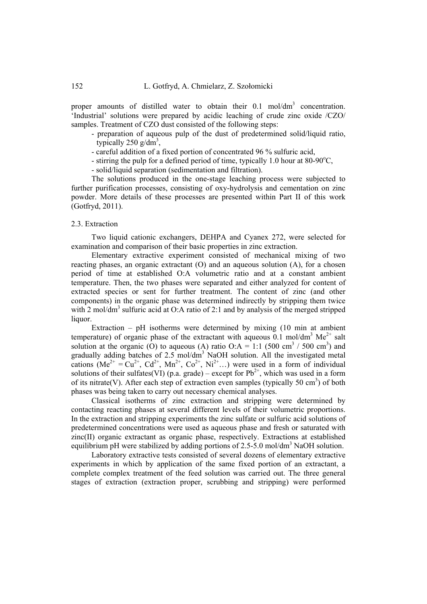proper amounts of distilled water to obtain their  $0.1 \text{ mol/dm}^3$  concentration. 'Industrial' solutions were prepared by acidic leaching of crude zinc oxide /CZO/ samples. Treatment of CZO dust consisted of the following steps:

- preparation of aqueous pulp of the dust of predetermined solid/liquid ratio, typically 250  $g/dm^3$ ,
- careful addition of a fixed portion of concentrated 96 % sulfuric acid,
- stirring the pulp for a defined period of time, typically 1.0 hour at 80-90 $^{\circ}$ C,
- solid/liquid separation (sedimentation and filtration).

The solutions produced in the one-stage leaching process were subjected to further purification processes, consisting of oxy-hydrolysis and cementation on zinc powder. More details of these processes are presented within Part II of this work (Gotfryd, 2011).

### 2.3. Extraction

Two liquid cationic exchangers, DEHPA and Cyanex 272, were selected for examination and comparison of their basic properties in zinc extraction.

Elementary extractive experiment consisted of mechanical mixing of two reacting phases, an organic extractant (O) and an aqueous solution (A), for a chosen period of time at established O:A volumetric ratio and at a constant ambient temperature. Then, the two phases were separated and either analyzed for content of extracted species or sent for further treatment. The content of zinc (and other components) in the organic phase was determined indirectly by stripping them twice with 2 mol/dm<sup>3</sup> sulfuric acid at O:A ratio of 2:1 and by analysis of the merged stripped liquor.

Extraction – pH isotherms were determined by mixing  $(10 \text{ min at ambient})$ temperature) of organic phase of the extractant with aqueous  $\overline{0.1}$  mol/dm<sup>3</sup> Me<sup>2+</sup> salt solution at the organic (O) to aqueous (A) ratio O:A = 1:1 (500 cm<sup>3</sup> / 500 cm<sup>3</sup>) and gradually adding batches of  $2.5 \text{ mol/dm}^3$  NaOH solution. All the investigated metal cations  $(Me^{2+} = Cu^{2+}, Cd^{2+}, Mn^{2+}, Co^{2+}, Ni^{2+}...)$  were used in a form of individual solutions of their sulfates(VI) (p.a. grade) – except for  $Pb^{2+}$ , which was used in a form of its nitrate(V). After each step of extraction even samples (typically 50 cm<sup>3</sup>) of both phases was being taken to carry out necessary chemical analyses.

Classical isotherms of zinc extraction and stripping were determined by contacting reacting phases at several different levels of their volumetric proportions. In the extraction and stripping experiments the zinc sulfate or sulfuric acid solutions of predetermined concentrations were used as aqueous phase and fresh or saturated with zinc(II) organic extractant as organic phase, respectively. Extractions at established equilibrium pH were stabilized by adding portions of  $2.5-5.0$  mol/dm<sup>3</sup> NaOH solution.

Laboratory extractive tests consisted of several dozens of elementary extractive experiments in which by application of the same fixed portion of an extractant, a complete complex treatment of the feed solution was carried out. The three general stages of extraction (extraction proper, scrubbing and stripping) were performed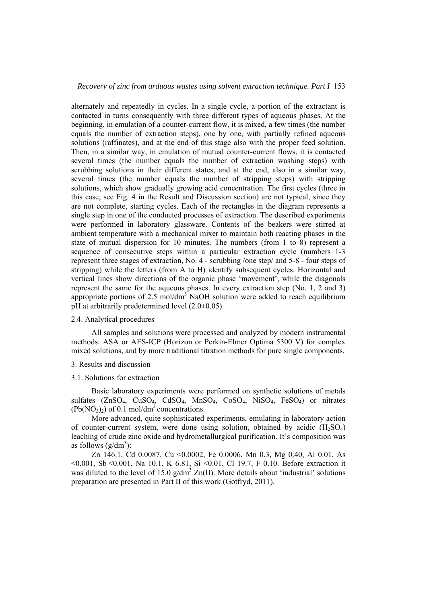alternately and repeatedly in cycles. In a single cycle, a portion of the extractant is contacted in turns consequently with three different types of aqueous phases. At the beginning, in emulation of a counter-current flow, it is mixed, a few times (the number equals the number of extraction steps), one by one, with partially refined aqueous solutions (raffinates), and at the end of this stage also with the proper feed solution. Then, in a similar way, in emulation of mutual counter-current flows, it is contacted several times (the number equals the number of extraction washing steps) with scrubbing solutions in their different states, and at the end, also in a similar way, several times (the number equals the number of stripping steps) with stripping solutions, which show gradually growing acid concentration. The first cycles (three in this case, see Fig. 4 in the Result and Discussion section) are not typical, since they are not complete, starting cycles. Each of the rectangles in the diagram represents a single step in one of the conducted processes of extraction. The described experiments were performed in laboratory glassware. Contents of the beakers were stirred at ambient temperature with a mechanical mixer to maintain both reacting phases in the state of mutual dispersion for 10 minutes. The numbers (from 1 to 8) represent a sequence of consecutive steps within a particular extraction cycle (numbers 1-3 represent three stages of extraction, No. 4 - scrubbing /one step/ and 5-8 - four steps of stripping) while the letters (from A to H) identify subsequent cycles. Horizontal and vertical lines show directions of the organic phase 'movement', while the diagonals represent the same for the aqueous phases. In every extraction step (No. 1, 2 and 3) appropriate portions of  $2.5 \text{ mol/dm}^3$  NaOH solution were added to reach equilibrium pH at arbitrarily predetermined level (2.0±0.05).

### 2.4. Analytical procedures

All samples and solutions were processed and analyzed by modern instrumental methods: ASA or AES-ICP (Horizon or Perkin-Elmer Optima 5300 V) for complex mixed solutions, and by more traditional titration methods for pure single components.

### 3. Results and discussion

#### 3.1. Solutions for extraction

Basic laboratory experiments were performed on synthetic solutions of metals sulfates (ZnSO<sub>4</sub>, CuSO<sub>4</sub>, CdSO<sub>4</sub>, MnSO<sub>4</sub>, CoSO<sub>4</sub>, NiSO<sub>4</sub>, FeSO<sub>4</sub>) or nitrates  $(Pb(NO<sub>3</sub>)<sub>2</sub>)$  of 0.1 mol/dm<sup>3</sup> concentrations.

More advanced, quite sophisticated experiments, emulating in laboratory action of counter-current system, were done using solution, obtained by acidic  $(H_2SO_4)$ leaching of crude zinc oxide and hydrometallurgical purification. It's composition was as follows  $(g/dm^3)$ :

Zn 146.1, Cd 0.0087, Cu < 0.0002, Fe 0.0006, Mn 0.3, Mg 0.40, Al 0.01, As <0.001, Sb <0.001, Na 10.1, K 6.81, Si <0.01, Cl 19.7, F 0.10. Before extraction it was diluted to the level of 15.0  $g/dm^3 Zn(II)$ . More details about 'industrial' solutions preparation are presented in Part II of this work (Gotfryd, 2011).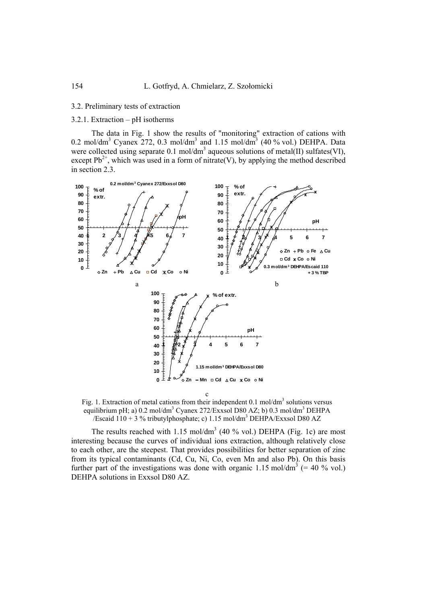### 3.2. Preliminary tests of extraction

## 3.2.1. Extraction – pH isotherms

The data in Fig. 1 show the results of "monitoring" extraction of cations with 0.2 mol/dm<sup>3</sup> Cyanex 272, 0.3 mol/dm<sup>3</sup> and 1.15 mol/dm<sup>3</sup> (40 % vol.) DEHPA. Data were collected using separate  $0.1 \text{ mol/dm}^3$  aqueous solutions of metal(II) sulfates(VI), except  $Pb^{2+}$ , which was used in a form of nitrate(V), by applying the method described in section 2.3.



Fig. 1. Extraction of metal cations from their independent  $0.1 \text{ mol/dm}^3$  solutions versus equilibrium pH; a) 0.2 mol/dm<sup>3</sup> Cyanex 272/Exxsol D80 AZ; b) 0.3 mol/dm<sup>3</sup> DEHPA /Escaid  $110 + 3$  % tributylphosphate; c) 1.15 mol/dm<sup>3</sup> DEHPA/Exxsol D80 AZ

The results reached with  $1.15 \text{ mol/dm}^3$  (40 % vol.) DEHPA (Fig. 1c) are most interesting because the curves of individual ions extraction, although relatively close to each other, are the steepest. That provides possibilities for better separation of zinc from its typical contaminants (Cd, Cu, Ni, Co, even Mn and also Pb). On this basis further part of the investigations was done with organic 1.15 mol/dm<sup>3</sup> (= 40 % vol.) DEHPA solutions in Exxsol D80 AZ.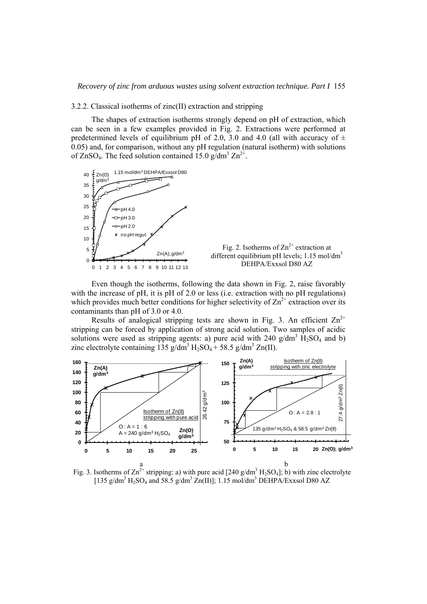### 3.2.2. Classical isotherms of zinc(II) extraction and stripping

The shapes of extraction isotherms strongly depend on pH of extraction, which can be seen in a few examples provided in Fig. 2. Extractions were performed at predetermined levels of equilibrium pH of 2.0, 3.0 and 4.0 (all with accuracy of  $\pm$ 0.05) and, for comparison, without any pH regulation (natural isotherm) with solutions of  $\text{ZnSO}_4$ . The feed solution contained 15.0 g/dm<sup>3</sup>  $\text{Zn}^{2+}$ .



Even though the isotherms, following the data shown in Fig. 2, raise favorably with the increase of pH, it is pH of 2.0 or less (i.e. extraction with no pH regulations) which provides much better conditions for higher selectivity of  $\text{Zn}^{2+}$  extraction over its contaminants than pH of 3.0 or 4.0.

Results of analogical stripping tests are shown in Fig. 3. An efficient  $Zn^{2+}$ stripping can be forced by application of strong acid solution. Two samples of acidic solutions were used as stripping agents: a) pure acid with 240  $g/dm^3$   $\hat{H}_2SO_4$  and b) zinc electrolyte containing  $135$  g/dm<sup>3</sup> H<sub>2</sub>SO<sub>4</sub> + 58.5 g/dm<sup>3</sup> Zn(II).



Fig. 3. Isotherms of  $\text{Zn}^{2+}$  stripping: a) with pure acid [240 g/dm<sup>3</sup> H<sub>2</sub>SO<sub>4</sub>]; b) with zinc electrolyte [135 g/dm<sup>3</sup> H<sub>2</sub>SO<sub>4</sub> and 58.5 g/dm<sup>3</sup> Zn(II)]; 1.15 mol/dm<sup>3</sup> DEHPA/Exxsol D80 AZ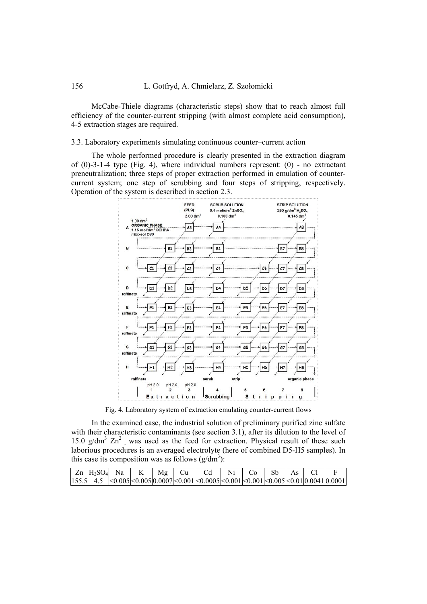McCabe-Thiele diagrams (characteristic steps) show that to reach almost full efficiency of the counter-current stripping (with almost complete acid consumption), 4-5 extraction stages are required.

3.3. Laboratory experiments simulating continuous counter–current action

The whole performed procedure is clearly presented in the extraction diagram of  $(0)$ -3-1-4 type (Fig. 4), where individual numbers represent:  $(0)$  - no extractant preneutralization; three steps of proper extraction performed in emulation of countercurrent system; one step of scrubbing and four steps of stripping, respectively. Operation of the system is described in section 2.3.



Fig. 4. Laboratory system of extraction emulating counter-current flows

In the examined case, the industrial solution of preliminary purified zinc sulfate with their characteristic contaminants (see section 3.1), after its dilution to the level of 15.0  $g/dm^3 Zn^{2+}$ , was used as the feed for extraction. Physical result of these such laborious procedures is an averaged electrolyte (here of combined D5-H5 samples). In this case its composition was as follows  $(g/dm^3)$ :

| $ Zn H_2SO_4 $ Na |  |  | $Mg$   Cu   Cd   $\frac{1}{2}$                                                           | $Ni \quad Co$ |  |  |
|-------------------|--|--|------------------------------------------------------------------------------------------|---------------|--|--|
|                   |  |  | 155.5  4.5  <0.005 <0.005 0.0007 <0.001 <0.0005 <0.001 <0.001 <0.005 <0.01 0.0041 0.0001 |               |  |  |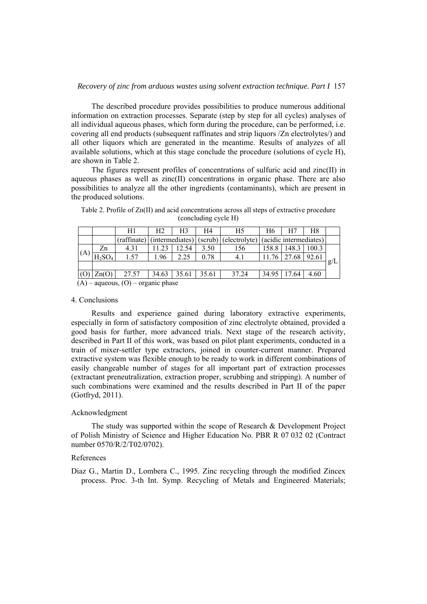The described procedure provides possibilities to produce numerous additional information on extraction processes. Separate (step by step for all cycles) analyses of all individual aqueous phases, which form during the procedure, can be performed, i.e. covering all end products (subsequent raffinates and strip liquors /Zn electrolytes/) and all other liquors which are generated in the meantime. Results of analyzes of all available solutions, which at this stage conclude the procedure (solutions of cycle H), are shown in Table 2.

The figures represent profiles of concentrations of sulfuric acid and zinc(II) in aqueous phases as well as zinc(II) concentrations in organic phase. There are also possibilities to analyze all the other ingredients (contaminants), which are present in the produced solutions.

|                                        |                       | H1          | Н2    | H3              | H4      | H5           | Η6                     | H7            | H8    |     |
|----------------------------------------|-----------------------|-------------|-------|-----------------|---------|--------------|------------------------|---------------|-------|-----|
|                                        |                       | (raffinate) |       | (intermediates) | (scrub) | electrolyte) | (acidic intermediates) |               |       |     |
|                                        | Zn                    | 4.31        | 11.23 | 12.54           | 3.50    | 156          | 158.8                  | 148.3         | 100.3 |     |
| (A)                                    | $H_2SO_4$             | 1.57        | .96   | 2.25            | 0.78    | 4.1          | 11.76                  | 27.68         | 92.61 |     |
|                                        |                       |             |       |                 |         |              |                        |               |       | g/L |
|                                        | $\text{Zn}(\text{O})$ | 27.57       | 34.63 | 35.61           | 35.61   | 37.24        |                        | 34.95   17.64 | 4.60  |     |
| $(A)$ – aqueous, $(O)$ – organic phase |                       |             |       |                 |         |              |                        |               |       |     |

Table 2. Profile of Zn(II) and acid concentrations across all steps of extractive procedure (concluding cycle H)

### 4. Conclusions

Results and experience gained during laboratory extractive experiments, especially in form of satisfactory composition of zinc electrolyte obtained, provided a good basis for further, more advanced trials. Next stage of the research activity, described in Part II of this work, was based on pilot plant experiments, conducted in a train of mixer-settler type extractors, joined in counter-current manner. Prepared extractive system was flexible enough to be ready to work in different combinations of easily changeable number of stages for all important part of extraction processes (extractant preneutralization, extraction proper, scrubbing and stripping). A number of such combinations were examined and the results described in Part II of the paper (Gotfryd, 2011).

### Acknowledgment

The study was supported within the scope of Research & Development Project of Polish Ministry of Science and Higher Education No. PBR R 07 032 02 (Contract number 0570/R/2/T02/0702).

### References

Diaz G., Martin D., Lombera C., 1995. Zinc recycling through the modified Zincex process. Proc. 3-th Int. Symp. Recycling of Metals and Engineered Materials;